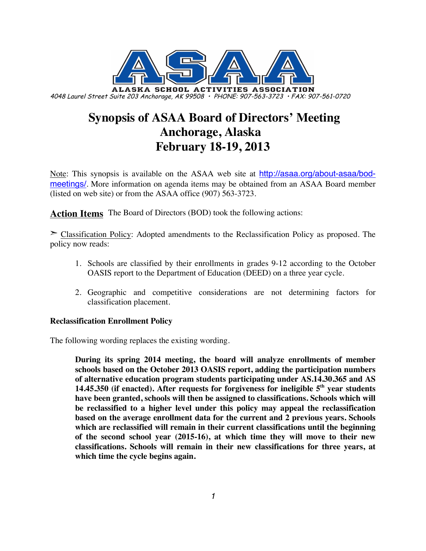

# **Synopsis of ASAA Board of Directors' Meeting Anchorage, Alaska February 18-19, 2013**

Note: This synopsis is available on the ASAA web site at http://asaa.org/about-asaa/bodmeetings/. More information on agenda items may be obtained from an ASAA Board member (listed on web site) or from the ASAA office (907) 563-3723.

**Action Items** The Board of Directors (BOD) took the following actions:

➣ Classification Policy: Adopted amendments to the Reclassification Policy as proposed. The policy now reads:

- 1. Schools are classified by their enrollments in grades 9-12 according to the October OASIS report to the Department of Education (DEED) on a three year cycle.
- 2. Geographic and competitive considerations are not determining factors for classification placement.

## **Reclassification Enrollment Policy**

The following wording replaces the existing wording.

**During its spring 2014 meeting, the board will analyze enrollments of member schools based on the October 2013 OASIS report, adding the participation numbers of alternative education program students participating under AS.14.30.365 and AS 14.45.350 (if enacted). After requests for forgiveness for ineligible 5th year students have been granted, schools will then be assigned to classifications. Schools which will be reclassified to a higher level under this policy may appeal the reclassification based on the average enrollment data for the current and 2 previous years. Schools which are reclassified will remain in their current classifications until the beginning of the second school year (2015-16), at which time they will move to their new classifications. Schools will remain in their new classifications for three years, at which time the cycle begins again.**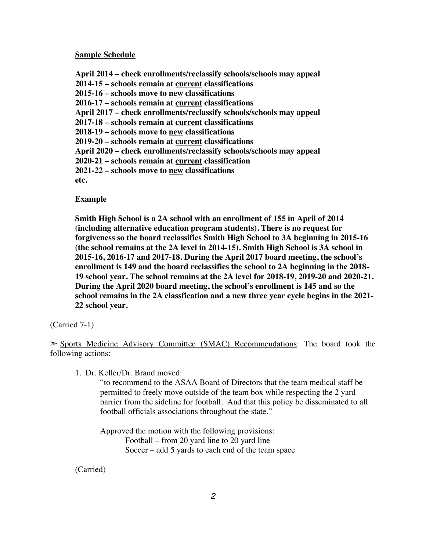#### **Sample Schedule**

**April 2014 – check enrollments/reclassify schools/schools may appeal 2014-15 – schools remain at current classifications 2015-16 – schools move to new classifications 2016-17 – schools remain at current classifications April 2017 – check enrollments/reclassify schools/schools may appeal 2017-18 – schools remain at current classifications 2018-19 – schools move to new classifications 2019-20 – schools remain at current classifications April 2020 – check enrollments/reclassify schools/schools may appeal 2020-21 – schools remain at current classification 2021-22 – schools move to new classifications etc.**

#### **Example**

**Smith High School is a 2A school with an enrollment of 155 in April of 2014 (including alternative education program students). There is no request for forgiveness so the board reclassifies Smith High School to 3A beginning in 2015-16 (the school remains at the 2A level in 2014-15). Smith High School is 3A school in 2015-16, 2016-17 and 2017-18. During the April 2017 board meeting, the school's enrollment is 149 and the board reclassifies the school to 2A beginning in the 2018- 19 school year. The school remains at the 2A level for 2018-19, 2019-20 and 2020-21. During the April 2020 board meeting, the school's enrollment is 145 and so the school remains in the 2A classfication and a new three year cycle begins in the 2021- 22 school year.**

#### (Carried 7-1)

➣ Sports Medicine Advisory Committee (SMAC) Recommendations: The board took the following actions:

1. Dr. Keller/Dr. Brand moved:

"to recommend to the ASAA Board of Directors that the team medical staff be permitted to freely move outside of the team box while respecting the 2 yard barrier from the sideline for football. And that this policy be disseminated to all football officials associations throughout the state."

Approved the motion with the following provisions: Football – from 20 yard line to 20 yard line Soccer – add 5 yards to each end of the team space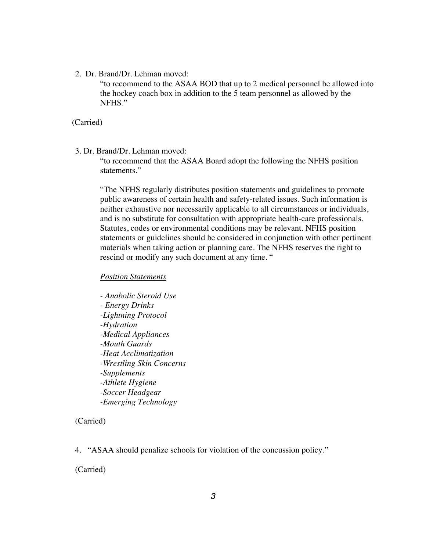2. Dr. Brand/Dr. Lehman moved:

"to recommend to the ASAA BOD that up to 2 medical personnel be allowed into the hockey coach box in addition to the 5 team personnel as allowed by the NFHS."

(Carried)

3. Dr. Brand/Dr. Lehman moved:

"to recommend that the ASAA Board adopt the following the NFHS position statements."

"The NFHS regularly distributes position statements and guidelines to promote public awareness of certain health and safety-related issues. Such information is neither exhaustive nor necessarily applicable to all circumstances or individuals, and is no substitute for consultation with appropriate health-care professionals. Statutes, codes or environmental conditions may be relevant. NFHS position statements or guidelines should be considered in conjunction with other pertinent materials when taking action or planning care. The NFHS reserves the right to rescind or modify any such document at any time. "

### *Position Statements*

*- Anabolic Steroid Use - Energy Drinks -Lightning Protocol -Hydration -Medical Appliances -Mouth Guards -Heat Acclimatization -Wrestling Skin Concerns -Supplements -Athlete Hygiene -Soccer Headgear -Emerging Technology*

(Carried)

4. "ASAA should penalize schools for violation of the concussion policy."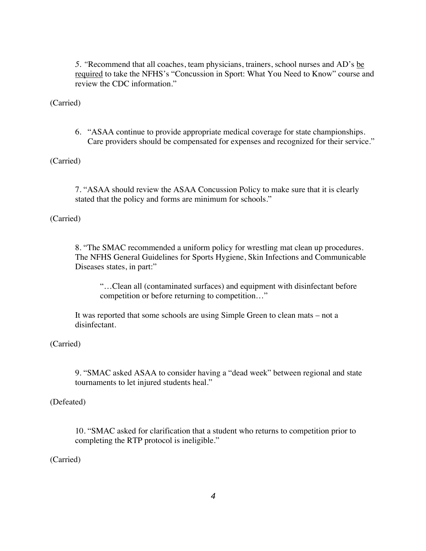*5. "*Recommend that all coaches, team physicians, trainers, school nurses and AD's be required to take the NFHS's "Concussion in Sport: What You Need to Know" course and review the CDC information."

(Carried)

6. "ASAA continue to provide appropriate medical coverage for state championships. Care providers should be compensated for expenses and recognized for their service."

(Carried)

7. "ASAA should review the ASAA Concussion Policy to make sure that it is clearly stated that the policy and forms are minimum for schools."

(Carried)

8. "The SMAC recommended a uniform policy for wrestling mat clean up procedures. The NFHS General Guidelines for Sports Hygiene, Skin Infections and Communicable Diseases states, in part:"

"…Clean all (contaminated surfaces) and equipment with disinfectant before competition or before returning to competition…"

It was reported that some schools are using Simple Green to clean mats – not a disinfectant.

(Carried)

9. "SMAC asked ASAA to consider having a "dead week" between regional and state tournaments to let injured students heal."

(Defeated)

10. "SMAC asked for clarification that a student who returns to competition prior to completing the RTP protocol is ineligible."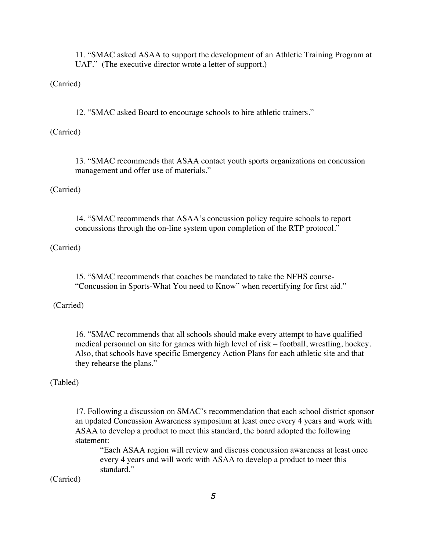11. "SMAC asked ASAA to support the development of an Athletic Training Program at UAF." (The executive director wrote a letter of support.)

(Carried)

12. "SMAC asked Board to encourage schools to hire athletic trainers."

(Carried)

13. "SMAC recommends that ASAA contact youth sports organizations on concussion management and offer use of materials."

(Carried)

14. "SMAC recommends that ASAA's concussion policy require schools to report concussions through the on-line system upon completion of the RTP protocol."

(Carried)

15. "SMAC recommends that coaches be mandated to take the NFHS course- "Concussion in Sports-What You need to Know" when recertifying for first aid."

(Carried)

16. "SMAC recommends that all schools should make every attempt to have qualified medical personnel on site for games with high level of risk – football, wrestling, hockey. Also, that schools have specific Emergency Action Plans for each athletic site and that they rehearse the plans."

#### (Tabled)

17. Following a discussion on SMAC's recommendation that each school district sponsor an updated Concussion Awareness symposium at least once every 4 years and work with ASAA to develop a product to meet this standard, the board adopted the following statement:

"Each ASAA region will review and discuss concussion awareness at least once every 4 years and will work with ASAA to develop a product to meet this standard."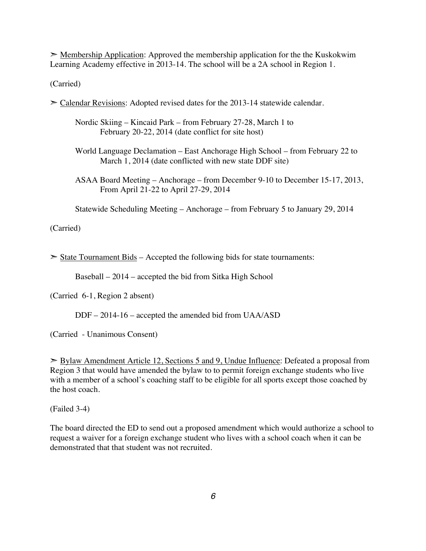$\geq$  Membership Application: Approved the membership application for the the Kuskokwim Learning Academy effective in 2013-14. The school will be a 2A school in Region 1.

(Carried)

➣ Calendar Revisions: Adopted revised dates for the 2013-14 statewide calendar.

Nordic Skiing – Kincaid Park – from February 27-28, March 1 to February 20-22, 2014 (date conflict for site host)

World Language Declamation – East Anchorage High School – from February 22 to March 1, 2014 (date conflicted with new state DDF site)

ASAA Board Meeting – Anchorage – from December 9-10 to December 15-17, 2013, From April 21-22 to April 27-29, 2014

Statewide Scheduling Meeting – Anchorage – from February 5 to January 29, 2014

(Carried)

 $\geq$  State Tournament Bids – Accepted the following bids for state tournaments:

Baseball – 2014 – accepted the bid from Sitka High School

(Carried 6-1, Region 2 absent)

DDF – 2014-16 – accepted the amended bid from UAA/ASD

(Carried - Unanimous Consent)

➣ Bylaw Amendment Article 12, Sections 5 and 9, Undue Influence: Defeated a proposal from Region 3 that would have amended the bylaw to to permit foreign exchange students who live with a member of a school's coaching staff to be eligible for all sports except those coached by the host coach.

(Failed 3-4)

The board directed the ED to send out a proposed amendment which would authorize a school to request a waiver for a foreign exchange student who lives with a school coach when it can be demonstrated that that student was not recruited.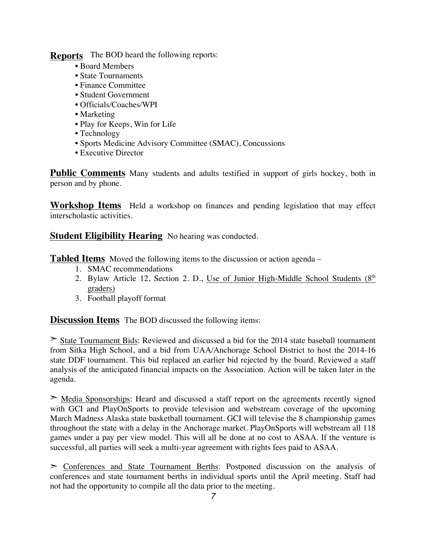**Reports** The BOD heard the following reports:

- Board Members
- State Tournaments
- Finance Committee
- Student Government
- Officials/Coaches/WPI
- Marketing
- Play for Keeps, Win for Life
- Technology
- Sports Medicine Advisory Committee (SMAC), Concussions
- Executive Director

**Public Comments** Many students and adults testified in support of girls hockey, both in person and by phone.

**Workshop Items** Held a workshop on finances and pending legislation that may effect interscholastic activities.

**Student Eligibility Hearing** No hearing was conducted.

**Tabled Items** Moved the following items to the discussion or action agenda –

- 1. SMAC recommendations
- 2. Bylaw Article 12, Section 2. D., Use of Junior High-Middle School Students  $(8<sup>th</sup>$ graders)
- 3. Football playoff format

**Discussion Items** The BOD discussed the following items:

➣ State Tournament Bids: Reviewed and discussed a bid for the 2014 state baseball tournament from Sitka High School, and a bid from UAA/Anchorage School District to host the 2014-16 state DDF tournament. This bid replaced an earlier bid rejected by the board. Reviewed a staff analysis of the anticipated financial impacts on the Association. Action will be taken later in the agenda.

➣ Media Sponsorships: Heard and discussed a staff report on the agreements recently signed with GCI and PlayOnSports to provide television and webstream coverage of the upcoming March Madness Alaska state basketball tournament. GCI will televise the 8 championship games throughout the state with a delay in the Anchorage market. PlayOnSports will webstream all 118 games under a pay per view model. This will all be done at no cost to ASAA. If the venture is successful, all parties will seek a multi-year agreement with rights fees paid to ASAA.

➣ Conferences and State Tournament Berths: Postponed discussion on the analysis of conferences and state tournament berths in individual sports until the April meeting. Staff had not had the opportunity to compile all the data prior to the meeting.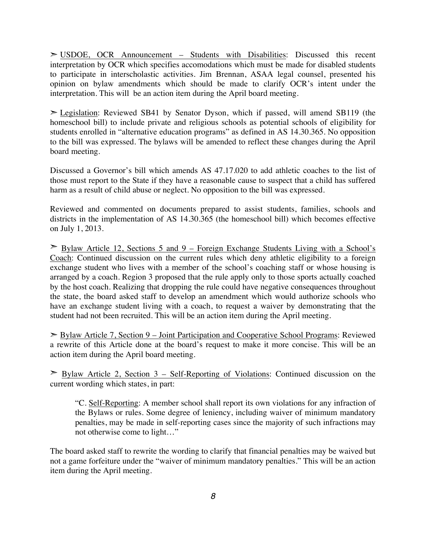$>$  USDOE, OCR Announcement – Students with Disabilities: Discussed this recent interpretation by OCR which specifies accomodations which must be made for disabled students to participate in interscholastic activities. Jim Brennan, ASAA legal counsel, presented his opinion on bylaw amendments which should be made to clarify OCR's intent under the interpretation. This will be an action item during the April board meeting.

➣ Legislation: Reviewed SB41 by Senator Dyson, which if passed, will amend SB119 (the homeschool bill) to include private and religious schools as potential schools of eligibility for students enrolled in "alternative education programs" as defined in AS 14.30.365. No opposition to the bill was expressed. The bylaws will be amended to reflect these changes during the April board meeting.

Discussed a Governor's bill which amends AS 47.17.020 to add athletic coaches to the list of those must report to the State if they have a reasonable cause to suspect that a child has suffered harm as a result of child abuse or neglect. No opposition to the bill was expressed.

Reviewed and commented on documents prepared to assist students, families, schools and districts in the implementation of AS 14.30.365 (the homeschool bill) which becomes effective on July 1, 2013.

 $\geq$  Bylaw Article 12, Sections 5 and 9 – Foreign Exchange Students Living with a School's Coach: Continued discussion on the current rules which deny athletic eligibility to a foreign exchange student who lives with a member of the school's coaching staff or whose housing is arranged by a coach. Region 3 proposed that the rule apply only to those sports actually coached by the host coach. Realizing that dropping the rule could have negative consequences throughout the state, the board asked staff to develop an amendment which would authorize schools who have an exchange student living with a coach, to request a waiver by demonstrating that the student had not been recruited. This will be an action item during the April meeting.

➣ Bylaw Article 7, Section 9 – Joint Participation and Cooperative School Programs: Reviewed a rewrite of this Article done at the board's request to make it more concise. This will be an action item during the April board meeting.

 $\geq$  Bylaw Article 2, Section 3 – Self-Reporting of Violations: Continued discussion on the current wording which states, in part:

"C. Self-Reporting: A member school shall report its own violations for any infraction of the Bylaws or rules. Some degree of leniency, including waiver of minimum mandatory penalties, may be made in self-reporting cases since the majority of such infractions may not otherwise come to light…"

The board asked staff to rewrite the wording to clarify that financial penalties may be waived but not a game forfeiture under the "waiver of minimum mandatory penalties." This will be an action item during the April meeting.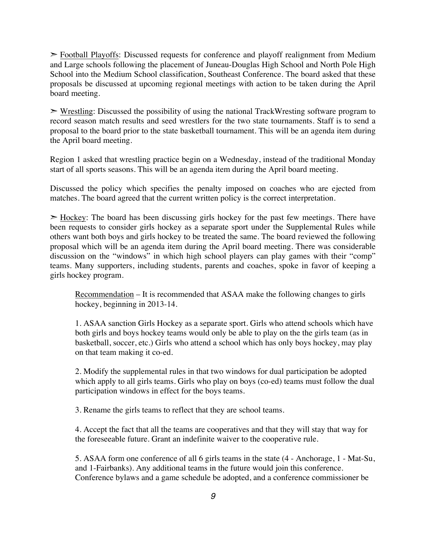➣ Football Playoffs: Discussed requests for conference and playoff realignment from Medium and Large schools following the placement of Juneau-Douglas High School and North Pole High School into the Medium School classification, Southeast Conference. The board asked that these proposals be discussed at upcoming regional meetings with action to be taken during the April board meeting.

 $\triangleright$  Wrestling: Discussed the possibility of using the national TrackWresting software program to record season match results and seed wrestlers for the two state tournaments. Staff is to send a proposal to the board prior to the state basketball tournament. This will be an agenda item during the April board meeting.

Region 1 asked that wrestling practice begin on a Wednesday, instead of the traditional Monday start of all sports seasons. This will be an agenda item during the April board meeting.

Discussed the policy which specifies the penalty imposed on coaches who are ejected from matches. The board agreed that the current written policy is the correct interpretation.

 $\geq$  Hockey: The board has been discussing girls hockey for the past few meetings. There have been requests to consider girls hockey as a separate sport under the Supplemental Rules while others want both boys and girls hockey to be treated the same. The board reviewed the following proposal which will be an agenda item during the April board meeting. There was considerable discussion on the "windows" in which high school players can play games with their "comp" teams. Many supporters, including students, parents and coaches, spoke in favor of keeping a girls hockey program.

Recommendation – It is recommended that ASAA make the following changes to girls hockey, beginning in 2013-14.

1. ASAA sanction Girls Hockey as a separate sport. Girls who attend schools which have both girls and boys hockey teams would only be able to play on the the girls team (as in basketball, soccer, etc.) Girls who attend a school which has only boys hockey, may play on that team making it co-ed.

2. Modify the supplemental rules in that two windows for dual participation be adopted which apply to all girls teams. Girls who play on boys (co-ed) teams must follow the dual participation windows in effect for the boys teams.

3. Rename the girls teams to reflect that they are school teams.

4. Accept the fact that all the teams are cooperatives and that they will stay that way for the foreseeable future. Grant an indefinite waiver to the cooperative rule.

5. ASAA form one conference of all 6 girls teams in the state (4 - Anchorage, 1 - Mat-Su, and 1-Fairbanks). Any additional teams in the future would join this conference. Conference bylaws and a game schedule be adopted, and a conference commissioner be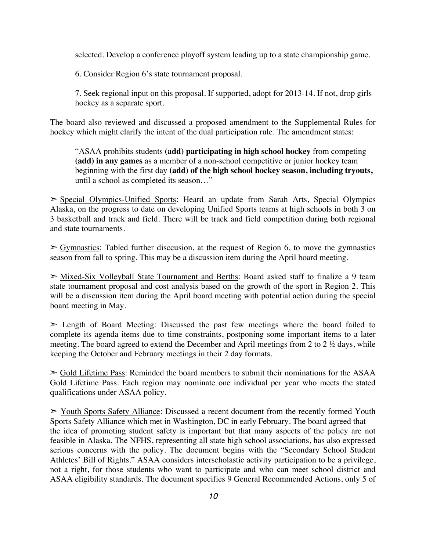selected. Develop a conference playoff system leading up to a state championship game.

6. Consider Region 6's state tournament proposal.

7. Seek regional input on this proposal. If supported, adopt for 2013-14. If not, drop girls hockey as a separate sport.

The board also reviewed and discussed a proposed amendment to the Supplemental Rules for hockey which might clarify the intent of the dual participation rule. The amendment states:

"ASAA prohibits students **(add) participating in high school hockey** from competing **(add) in any games** as a member of a non-school competitive or junior hockey team beginning with the first day **(add) of the high school hockey season, including tryouts,** until a school as completed its season…"

➣ Special Olympics-Unified Sports: Heard an update from Sarah Arts, Special Olympics Alaska, on the progress to date on developing Unified Sports teams at high schools in both 3 on 3 basketball and track and field. There will be track and field competition during both regional and state tournaments.

 $\triangleright$  Gymnastics: Tabled further disccusion, at the request of Region 6, to move the gymnastics season from fall to spring. This may be a discussion item during the April board meeting.

➣ Mixed-Six Volleyball State Tournament and Berths: Board asked staff to finalize a 9 team state tournament proposal and cost analysis based on the growth of the sport in Region 2. This will be a discussion item during the April board meeting with potential action during the special board meeting in May.

 $\geq$  Length of Board Meeting: Discussed the past few meetings where the board failed to complete its agenda items due to time constraints, postponing some important items to a later meeting. The board agreed to extend the December and April meetings from 2 to 2 ½ days, while keeping the October and February meetings in their 2 day formats.

 $\geq$  Gold Lifetime Pass: Reminded the board members to submit their nominations for the ASAA Gold Lifetime Pass. Each region may nominate one individual per year who meets the stated qualifications under ASAA policy.

➣ Youth Sports Safety Alliance: Discussed a recent document from the recently formed Youth Sports Safety Alliance which met in Washington, DC in early February. The board agreed that the idea of promoting student safety is important but that many aspects of the policy are not feasible in Alaska. The NFHS, representing all state high school associations, has also expressed serious concerns with the policy. The document begins with the "Secondary School Student Athletes' Bill of Rights." ASAA considers interscholastic activity participation to be a privilege, not a right, for those students who want to participate and who can meet school district and ASAA eligibility standards. The document specifies 9 General Recommended Actions, only 5 of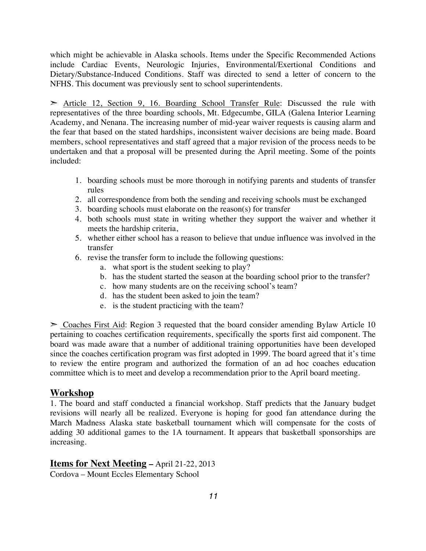which might be achievable in Alaska schools. Items under the Specific Recommended Actions include Cardiac Events, Neurologic Injuries, Environmental/Exertional Conditions and Dietary/Substance-Induced Conditions. Staff was directed to send a letter of concern to the NFHS. This document was previously sent to school superintendents.

 $\geq$  Article 12, Section 9, 16. Boarding School Transfer Rule: Discussed the rule with representatives of the three boarding schools, Mt. Edgecumbe, GILA (Galena Interior Learning Academy, and Nenana. The increasing number of mid-year waiver requests is causing alarm and the fear that based on the stated hardships, inconsistent waiver decisions are being made. Board members, school representatives and staff agreed that a major revision of the process needs to be undertaken and that a proposal will be presented during the April meeting. Some of the points included:

- 1. boarding schools must be more thorough in notifying parents and students of transfer rules
- 2. all correspondence from both the sending and receiving schools must be exchanged
- 3. boarding schools must elaborate on the reason(s) for transfer
- 4. both schools must state in writing whether they support the waiver and whether it meets the hardship criteria,
- 5. whether either school has a reason to believe that undue influence was involved in the transfer
- 6. revise the transfer form to include the following questions:
	- a. what sport is the student seeking to play?
	- b. has the student started the season at the boarding school prior to the transfer?
	- c. how many students are on the receiving school's team?
	- d. has the student been asked to join the team?
	- e. is the student practicing with the team?

 $\geq$  Coaches First Aid: Region 3 requested that the board consider amending Bylaw Article 10 pertaining to coaches certification requirements, specifically the sports first aid component. The board was made aware that a number of additional training opportunities have been developed since the coaches certification program was first adopted in 1999. The board agreed that it's time to review the entire program and authorized the formation of an ad hoc coaches education committee which is to meet and develop a recommendation prior to the April board meeting.

## **Workshop**

1. The board and staff conducted a financial workshop. Staff predicts that the January budget revisions will nearly all be realized. Everyone is hoping for good fan attendance during the March Madness Alaska state basketball tournament which will compensate for the costs of adding 30 additional games to the 1A tournament. It appears that basketball sponsorships are increasing.

## **Items for Next Meeting –** April 21-22, 2013

Cordova – Mount Eccles Elementary School